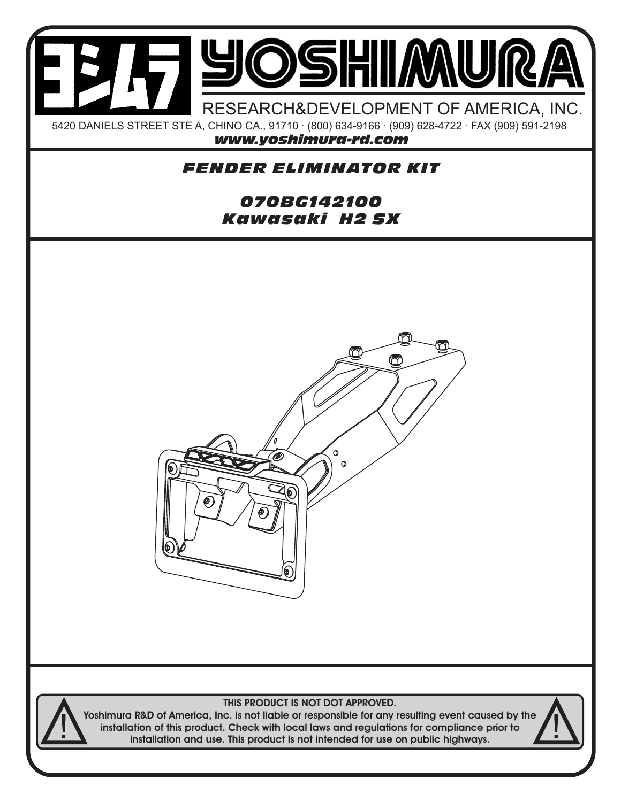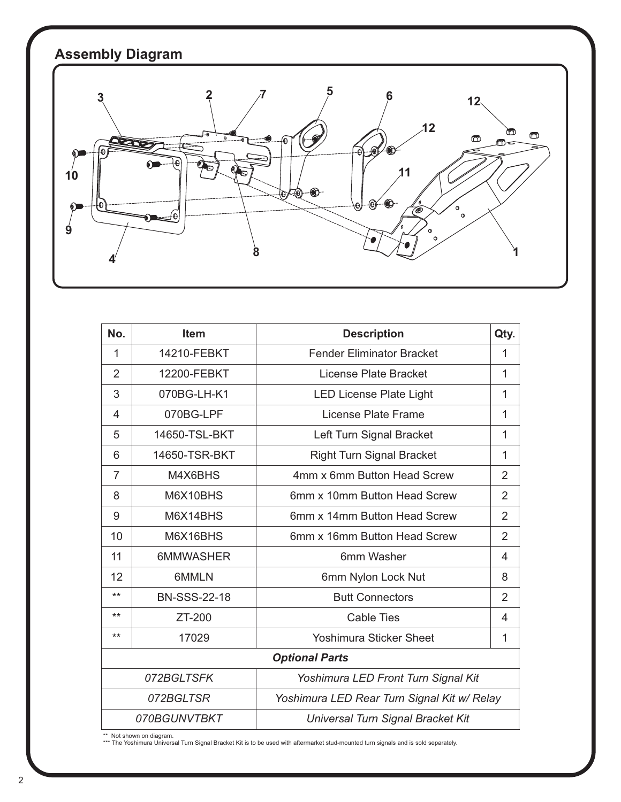

| No.                                                      | <b>Item</b>         | <b>Description</b>                | Qty.           |
|----------------------------------------------------------|---------------------|-----------------------------------|----------------|
| $\mathbf{1}$                                             | 14210-FEBKT         | <b>Fender Eliminator Bracket</b>  | 1              |
| $\overline{2}$                                           | 12200-FEBKT         | License Plate Bracket             | 1              |
| 3                                                        | 070BG-LH-K1         | <b>LED License Plate Light</b>    | 1              |
| 4                                                        | 070BG-LPF           | License Plate Frame               | 1              |
| 5                                                        | 14650-TSL-BKT       | Left Turn Signal Bracket          | 1              |
| 6                                                        | 14650-TSR-BKT       | <b>Right Turn Signal Bracket</b>  | 1              |
| $\overline{7}$                                           | M4X6BHS             | 4mm x 6mm Button Head Screw       | $\overline{2}$ |
| 8                                                        | M6X10BHS            | 6mm x 10mm Button Head Screw      | $\overline{2}$ |
| 9                                                        | M6X14BHS            | 6mm x 14mm Button Head Screw      | $\overline{2}$ |
| 10                                                       | M6X16BHS            | 6mm x 16mm Button Head Screw      | $\overline{2}$ |
| 11                                                       | 6MMWASHER           | 6mm Washer                        | 4              |
| 12                                                       | 6MMLN               | 6mm Nylon Lock Nut                | 8              |
| $***$                                                    | <b>BN-SSS-22-18</b> | <b>Butt Connectors</b>            | $\overline{2}$ |
| $***$                                                    | ZT-200              | <b>Cable Ties</b>                 | 4              |
| $***$                                                    | 17029               | <b>Yoshimura Sticker Sheet</b>    | 1              |
| <b>Optional Parts</b>                                    |                     |                                   |                |
| 072BGLTSFK<br>Yoshimura LED Front Turn Signal Kit        |                     |                                   |                |
| 072BGLTSR<br>Yoshimura LED Rear Turn Signal Kit w/ Relay |                     |                                   |                |
| 070BGUNVTBKT                                             |                     | Universal Turn Signal Bracket Kit |                |

\*\* Not shown on diagram. \*\*\* The Yoshimura Universal Turn Signal Bracket Kit is to be used with aftermarket stud-mounted turn signals and is sold separately.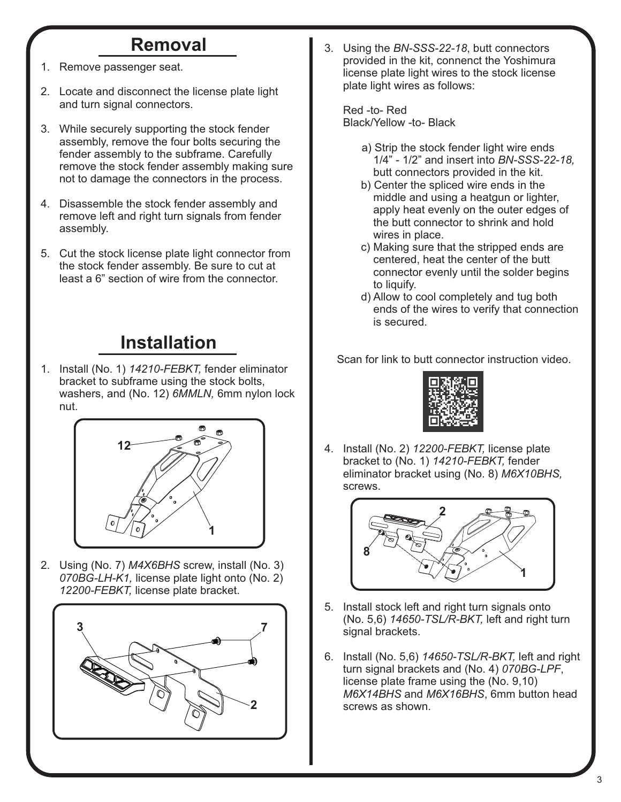## **Removal**

- 1. Remove passenger seat.
- 2. Locate and disconnect the license plate light and turn signal connectors.
- 3. While securely supporting the stock fender assembly, remove the four bolts securing the fender assembly to the subframe. Carefully remove the stock fender assembly making sure not to damage the connectors in the process.
- 4. Disassemble the stock fender assembly and remove left and right turn signals from fender assembly.
- 5. Cut the stock license plate light connector from the stock fender assembly. Be sure to cut at least a 6" section of wire from the connector.

## **Installation**

1. Install (No. 1) *14210-FEBKT,* fender eliminator bracket to subframe using the stock bolts, washers, and (No. 12) *6MMLN,* 6mm nylon lock nut.



2. Using (No. 7) *M4X6BHS* screw, install (No. 3)  *070BG-LH-K1,* license plate light onto (No. 2)  *12200-FEBKT,* license plate bracket.



3. Using the *BN-SSS-22-18*, butt connectors provided in the kit, connenct the Yoshimura license plate light wires to the stock license plate light wires as follows:

 Red -to- Red Black/Yellow -to- Black

- a) Strip the stock fender light wire ends 1/4" - 1/2" and insert into *BN-SSS-22-18,* butt connectors provided in the kit.
- b) Center the spliced wire ends in the middle and using a heatgun or lighter, apply heat evenly on the outer edges of the butt connector to shrink and hold wires in place.
- c) Making sure that the stripped ends are centered, heat the center of the butt connector evenly until the solder begins to liquify.
- d) Allow to cool completely and tug both ends of the wires to verify that connection is secured.

Scan for link to butt connector instruction video.



4. Install (No. 2) *12200-FEBKT,* license plate bracket to (No. 1) *14210-FEBKT,* fender eliminator bracket using (No. 8) *M6X10BHS,*  screws.



- 5. Install stock left and right turn signals onto (No. 5,6) *14650-TSL/R-BKT,* left and right turn signal brackets.
- 6. Install (No. 5,6) *14650-TSL/R-BKT,* left and right turn signal brackets and (No. 4) *070BG-LPF*, license plate frame using the (No. 9,10) *M6X14BHS* and *M6X16BHS*, 6mm button head screws as shown.